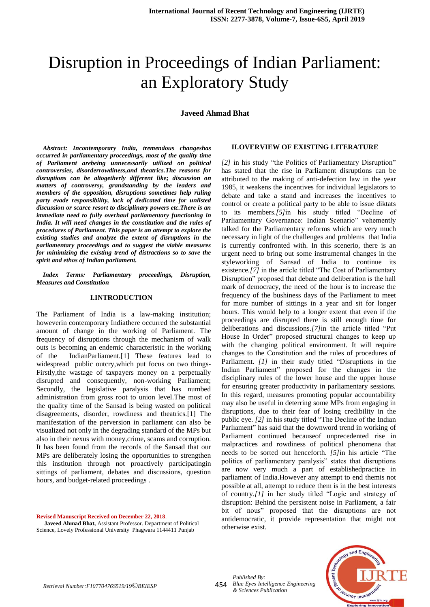# Disruption in Proceedings of Indian Parliament: an Exploratory Study

**Javeed Ahmad Bhat**

*Abstract: Incontemporary India, tremendous changeshas occurred in parliamentary proceedings, most of the quality time of Parliament arebeing unnecessarily utilized on political controversies, disorderrowdiness,and theatrics.The reasons for disruptions can be altogetherly different like; discussion on matters of controversy, grandstanding by the leaders and members of the opposition, disruptions sometimes help ruling party evade responsibility, lack of dedicated time for unlisted discussion or scarce resort to disciplinary powers etc.There is an immediate need to fully overhaul parliamentary functioning in India. It will need changes in the constitution and the rules of procedures of Parliament. This paper is an attempt to explore the existing studies and analyze the extent of disruptions in the parliamentary proceedings and to suggest the viable measures for minimizing the existing trend of distractions so to save the spirit and ethos of Indian parliament.*

*Index Terms: Parliamentary proceedings, Disruption, Measures and Constitution*

### **I.INTRODUCTION**

The Parliament of India is a law-making institution; howeverin contemporary Indiathere occurred the substantial amount of change in the working of Parliament. The frequency of disruptions through the mechanism of walk outs is becoming an endemic characteristic in the working of the IndianParliament.[1] These features lead to widespread public outcry,which put focus on two things-Firstly,the wastage of taxpayers money on a perpetually disrupted and consequently, non-working Parliament; Secondly, the legislative paralysis that has numbed administration from gross root to union level.The most of the quality time of the Sansad is being wasted on political disagreements, disorder, rowdiness and theatrics.[1] The manifestation of the perversion in parliament can also be visualized not only in the degrading standard of the MPs but also in their nexus with money,crime, scams and corruption. It has been found from the records of the Sansad that our MPs are deliberately losing the opportunities to strengthen this institution through not proactively participatingin sittings of parliament, debates and discussions, question hours, and budget-related proceedings .

**Revised Manuscript Received on December 22, 2018**.

**Javeed Ahmad Bhat,** Assistant Professor. Department of Political Science, Lovely Professional University Phagwara 1144411 Punjab

#### **II.OVERVIEW OF EXISTING LITERATURE**

*[2]* in his study "the Politics of Parliamentary Disruption" has stated that the rise in Parliament disruptions can be attributed to the making of anti-defection law in the year 1985, it weakens the incentives for individual legislators to debate and take a stand and increases the incentives to control or create a political party to be able to issue diktats to its members.*[5]*in his study titled "Decline of Parliamentary Governance: Indian Scenario" vehemently talked for the Parliamentary reforms which are very much necessary in light of the challenges and problems that India is currently confronted with. In this scenerio, there is an urgent need to bring out some instrumental changes in the styleworking of Sansad of India to continue its existence*.[7]* in the article titled "The Cost of Parliamentary Disruption" proposed that debate and deliberation is the hall mark of democracy, the need of the hour is to increase the frequency of the bushiness days of the Parliament to meet for more number of sittings in a year and sit for longer hours. This would help to a longer extent that even if the proceedings are disrupted there is still enough time for deliberations and discussions.*[7]*in the article titled "Put House In Order" proposed structural changes to keep up with the changing political environment. It will require changes to the Constitution and the rules of procedures of Parliament. *[1]* in their study titled "Disruptions in the Indian Parliament" proposed for the changes in the disciplinary rules of the lower house and the upper house for ensuring greater productivity in parliamentary sessions. In this regard, measures promoting popular accountability may also be useful in deterring some MPs from engaging in disruptions, due to their fear of losing credibility in the public eye. *[2]* in his study titled "The Decline of the Indian Parliament" has said that the downword trend in working of Parliament continued becauseof unprecedented rise in malpractices and rowdiness of political phenomena that needs to be sorted out henceforth. *[5]*in his article "The politics of parliamentary paralysis" states that disruptions are now very much a part of establishedpractice in parliament of India.However any attempt to end themis not possible at all, attempt to reduce them is in the best interests of country.*[1]* in her study titled "Logic and strategy of disruption: Behind the persistent noise in Parliament, a fair bit of nous" proposed that the disruptions are not antidemocratic, it provide representation that might not otherwise exist.



*Blue Eyes Intelligence Engineering & Sciences Publication* 

*Published By:*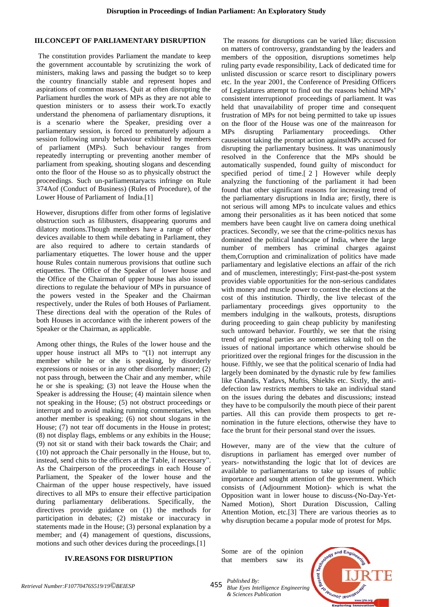### **III.CONCEPT OF PARLIAMENTARY DISRUPTION**

The constitution provides Parliament the mandate to keep the government accountable by scrutinizing the work of ministers, making laws and passing the budget so to keep the country financially stable and represent hopes and aspirations of common masses. Quit at often disrupting the Parliament hurdles the work of MPs as they are not able to question ministers or to assess their work.To exactly understand the phenomena of parliamentary disruptions, it is a scenario where the Speaker, presiding over a parliamentary session, is forced to prematurely adjourn a session following unruly behaviour exhibited by members of parliament (MPs). Such behaviour ranges from repeatedly interrupting or preventing another member of parliament from speaking, shouting slogans and descending onto the floor of the House so as to physically obstruct the proceedings. Such un-parliamentaryacts infringe on Rule 374Aof (Conduct of Business) (Rules of Procedure), of the Lower House of Parliament of India.[1]

However, disruptions differ from other forms of legislative obstruction such as filibusters, disappearing quorums and dilatory motions.Though members have a range of other devices available to them while debating in Parliament, they are also required to adhere to certain standards of parliamentary etiquettes. The lower house and the upper house Rules contain numerous provisions that outline such etiquettes. The Office of the Speaker of lower house and the Office of the Chairman of upper house has also issued directions to regulate the behaviour of MPs in pursuance of the powers vested in the Speaker and the Chairman respectively, under the Rules of both Houses of Parliament. These directions deal with the operation of the Rules of both Houses in accordance with the inherent powers of the Speaker or the Chairman, as applicable.

Among other things, the Rules of the lower house and the upper house instruct all MPs to "(1) not interrupt any member while he or she is speaking, by disorderly expressions or noises or in any other disorderly manner; (2) not pass through, between the Chair and any member, while he or she is speaking; (3) not leave the House when the Speaker is addressing the House; (4) maintain silence when not speaking in the House; (5) not obstruct proceedings or interrupt and to avoid making running commentaries, when another member is speaking; (6) not shout slogans in the House; (7) not tear off documents in the House in protest; (8) not display flags, emblems or any exhibits in the House; (9) not sit or stand with their back towards the Chair; and (10) not approach the Chair personally in the House, but to, instead, send chits to the officers at the Table, if necessary". As the Chairperson of the proceedings in each House of Parliament, the Speaker of the lower house and the Chairman of the upper house respectively, have issued directives to all MPs to ensure their effective participation during parliamentary deliberations. Specifically, the directives provide guidance on (1) the methods for participation in debates; (2) mistake or inaccuracy in statements made in the House; (3) personal explanation by a member; and (4) management of questions, discussions, motions and such other devices during the proceedings.[1]

## **IV.REASONS FOR DISRUPTION**

The reasons for disruptions can be varied like; discussion on matters of controversy, grandstanding by the leaders and members of the opposition, disruptions sometimes help ruling party evade responsibility, Lack of dedicated time for unlisted discussion or scarce resort to disciplinary powers etc. In the year 2001, the Conference of Presiding Officers of Legislatures attempt to find out the reasons behind MPs' consistent interruptionof proceedings of parliament. It was held that unavailability of proper time and consequent frustration of MPs for not being permitted to take up issues on the floor of the House was one of the mainreason for MPs disrupting Parliamentary proceedings. Other causeisnot taking the prompt action againstMPs accused for disrupting the parliamentary business. It was unanimously resolved in the Conference that the MPs should be automatically suspended, found guilty of misconduct for specified period of time.[ 2 ] However while deeply analyzing the functioning of the parliament it had been found that other significant reasons for increasing trend of the parliamentary disruptions in India are; firstly, there is not serious will among MPs to inculcate values and ethics among their personalities as it has been noticed that some members have been caught live on camera doing unethical practices. Secondly, we see that the crime-politics nexus has dominated the political landscape of India, where the large number of members has criminal charges against them,Corruption and criminalization of politics have made parliamentary and legislative elections an affair of the rich and of musclemen, interestingly; First-past-the-post system provides viable opportunities for the non-serious candidates with money and muscle power to contest the elections at the cost of this institution. Thirdly, the live telecast of the parliamentary proceedings gives opportunity to the members indulging in the walkouts, protests, disruptions during proceeding to gain cheap publicity by manifesting such untoward behavior. Fourthly, we see that the rising trend of regional parties are sometimes taking toll on the issues of national importance which otherwise should be prioritized over the regional fringes for the discussion in the house. Fifthly, we see that the political scenario of India had largely been dominated by the dynastic rule by few families like Ghandis, Yadavs, Muftis, Shiekhs etc. Sixtly, the antidefection law restricts members to take an individual stand on the issues during the debates and discussions; instead they have to be compulsorily the mouth piece of their parent parties. All this can provide them prospects to get renomination in the future elections, otherwise they have to face the brunt for their personal stand over the issues.

However, many are of the view that the culture of disruptions in parliament has emerged over number of years- notwithstanding the logic that lot of devices are available to parliamentarians to take up issues of public importance and sought attention of the government. Which consists of (Adjournment Motion)- which is what the Opposition want in lower house to discuss-(No-Day-Yet-Named Motion), Short Duration Discussion, Calling Attention Motion, etc.[3] There are various theories as to why disruption became a popular mode of protest for Mps.

Some are of the opinion that members saw its



455 *Published By: Blue Eyes Intelligence Engineering & Sciences Publication*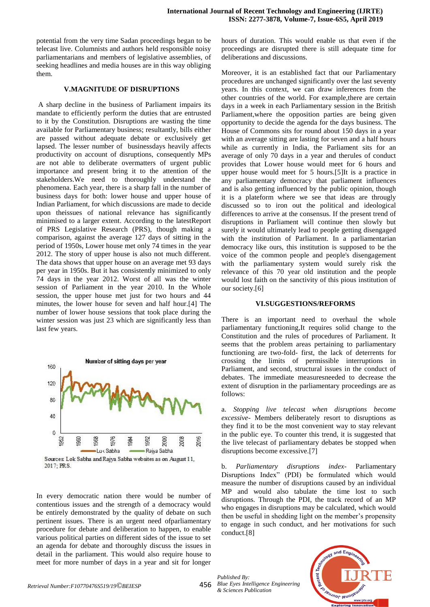potential from the very time Sadan proceedings began to be telecast live. Columnists and authors held responsible noisy parliamentarians and members of legislative assemblies, of seeking headlines and media houses are in this way obliging them.

#### **V.MAGNITUDE OF DISRUPTIONS**

A sharp decline in the business of Parliament impairs its mandate to efficiently perform the duties that are entrusted to it by the Constitution. Disruptions are wasting the time available for Parliamentary business; resultantly, bills either are passed without adequate debate or exclusively get lapsed. The lesser number of businessdays heavily affects productivity on account of disruptions, consequently MPs are not able to deliberate overmatters of urgent public importance and present bring it to the attention of the stakeholders.We need to thoroughly understand the phenomena. Each year, there is a sharp fall in the number of business days for both: lower house and upper house of Indian Parliament, for which discussions are made to decide upon theissues of national relevance has significantly minimised to a larger extent. According to the latestReport of PRS Legislative Research (PRS), though making a comparison, against the average 127 days of sitting in the period of 1950s, Lower house met only 74 times in the year 2012. The story of upper house is also not much different. The data shows that upper house on an average met 93 days per year in 1950s. But it has consistently minimized to only 74 days in the year 2012. Worst of all was the winter session of Parliament in the year 2010. In the Whole session, the upper house met just for two hours and 44 minutes, the lower house for seven and half hour.[4] The number of lower house sessions that took place during the winter session was just 23 which are significantly less than last few years.



2017: PRS.

In every democratic nation there would be number of contentious issues and the strength of a democracy would be entirely demonstrated by the quality of debate on such pertinent issues. There is an urgent need ofparliamentary procedure for debate and deliberation to happen, to enable various political parties on different sides of the issue to set an agenda for debate and thoroughly discuss the issues in detail in the parliament. This would also require house to meet for more number of days in a year and sit for longer hours of duration. This would enable us that even if the proceedings are disrupted there is still adequate time for deliberations and discussions.

Moreover, it is an established fact that our Parliamentary procedures are unchanged significantly over the last seventy years. In this context, we can draw inferences from the other countries of the world. For example,there are certain days in a week in each Parliamentary session in the British Parliament,where the opposition parties are being given opportunity to decide the agenda for the days business. The House of Commons sits for round about 150 days in a year with an average sitting are lasting for seven and a half hours while as currently in India, the Parliament sits for an average of only 70 days in a year and therules of conduct provides that Lower house would meet for 6 hours and upper house would meet for 5 hours.[5]It is a practice in any parliamentary democracy that parliament influences and is also getting influenced by the public opinion, though it is a plateform where we see that ideas are througly discussed so to iron out the political and ideological differences to arrive at the consensus. If the present trend of disruptions in Parliament will continue then slowly but surely it would ultimately lead to people getting disengaged with the institution of Parliament. In a parliamentarian democracy like ours, this institution is supposed to be the voice of the common people and people's disengagement with the parliamentary system would surely risk the relevance of this 70 year old institution and the people would lost faith on the sanctivity of this pious institution of our society.[6]

#### **VI.SUGGESTIONS/REFORMS**

There is an important need to overhaul the whole parliamentary functioning,It requires solid change to the Constitution and the rules of procedures of Parliament. It seems that the problem areas pertaining to parliamentary functioning are two-fold- first, the lack of deterrents for crossing the limits of permissible interruptions in Parliament, and second, structural issues in the conduct of debates. The immediate measuresneeded to decrease the extent of disruption in the parliamentary proceedings are as follows:

a. *Stopping live telecast when disruptions become excessive*- Members deliberately resort to disruptions as they find it to be the most convenient way to stay relevant in the public eye. To counter this trend, it is suggested that the live telecast of parliamentary debates be stopped when disruptions become excessive.[7]

b. *Parliamentary disruptions index*- Parliamentary Disruptions Index" (PDI) be formulated which would measure the number of disruptions caused by an individual MP and would also tabulate the time lost to such disruptions. Through the PDI, the track record of an MP who engages in disruptions may be calculated, which would then be useful in shedding light on the member's propensity to engage in such conduct, and her motivations for such conduct.[8]

*Published By: Blue Eyes Intelligence Engineering & Sciences Publication*